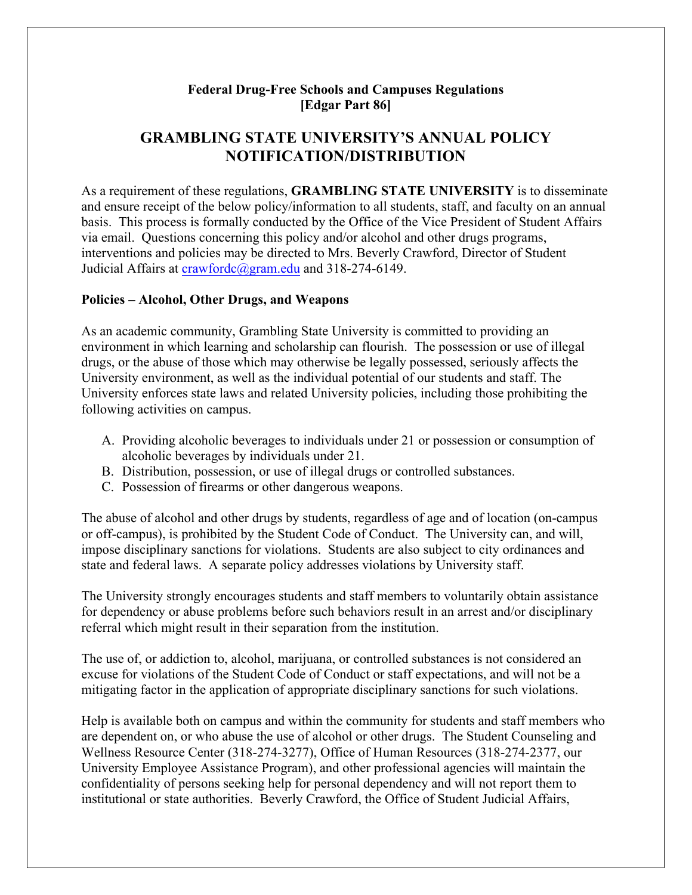## **Federal Drug-Free Schools and Campuses Regulations [Edgar Part 86]**

# **GRAMBLING STATE UNIVERSITY'S ANNUAL POLICY NOTIFICATION/DISTRIBUTION**

As a requirement of these regulations, **GRAMBLING STATE UNIVERSITY** is to disseminate and ensure receipt of the below policy/information to all students, staff, and faculty on an annual basis. This process is formally conducted by the Office of the Vice President of Student Affairs via email. Questions concerning this policy and/or alcohol and other drugs programs, interventions and policies may be directed to Mrs. Beverly Crawford, Director of Student Judicial Affairs at crawfordc@gram.edu and 318-274-6149.

#### **Policies – Alcohol, Other Drugs, and Weapons**

As an academic community, Grambling State University is committed to providing an environment in which learning and scholarship can flourish. The possession or use of illegal drugs, or the abuse of those which may otherwise be legally possessed, seriously affects the University environment, as well as the individual potential of our students and staff. The University enforces state laws and related University policies, including those prohibiting the following activities on campus.

- A. Providing alcoholic beverages to individuals under 21 or possession or consumption of alcoholic beverages by individuals under 21.
- B. Distribution, possession, or use of illegal drugs or controlled substances.
- C. Possession of firearms or other dangerous weapons.

The abuse of alcohol and other drugs by students, regardless of age and of location (on-campus or off-campus), is prohibited by the Student Code of Conduct. The University can, and will, impose disciplinary sanctions for violations. Students are also subject to city ordinances and state and federal laws. A separate policy addresses violations by University staff.

The University strongly encourages students and staff members to voluntarily obtain assistance for dependency or abuse problems before such behaviors result in an arrest and/or disciplinary referral which might result in their separation from the institution.

The use of, or addiction to, alcohol, marijuana, or controlled substances is not considered an excuse for violations of the Student Code of Conduct or staff expectations, and will not be a mitigating factor in the application of appropriate disciplinary sanctions for such violations.

Help is available both on campus and within the community for students and staff members who are dependent on, or who abuse the use of alcohol or other drugs. The Student Counseling and Wellness Resource Center (318-274-3277), Office of Human Resources (318-274-2377, our University Employee Assistance Program), and other professional agencies will maintain the confidentiality of persons seeking help for personal dependency and will not report them to institutional or state authorities. Beverly Crawford, the Office of Student Judicial Affairs,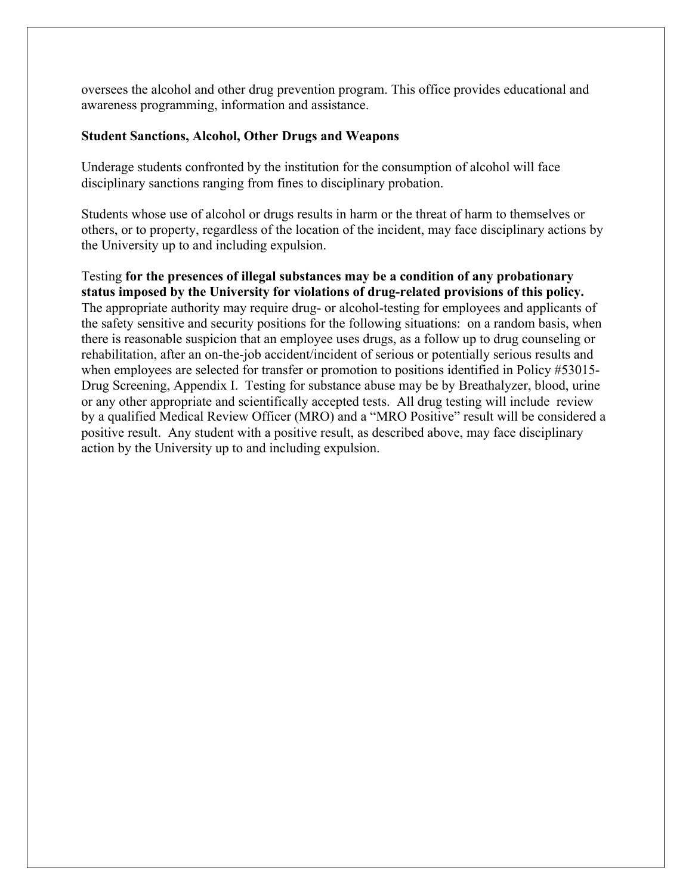oversees the alcohol and other drug prevention program. This office provides educational and awareness programming, information and assistance.

#### **Student Sanctions, Alcohol, Other Drugs and Weapons**

Underage students confronted by the institution for the consumption of alcohol will face disciplinary sanctions ranging from fines to disciplinary probation.

Students whose use of alcohol or drugs results in harm or the threat of harm to themselves or others, or to property, regardless of the location of the incident, may face disciplinary actions by the University up to and including expulsion.

Testing **for the presences of illegal substances may be a condition of any probationary status imposed by the University for violations of drug-related provisions of this policy.**  The appropriate authority may require drug- or alcohol-testing for employees and applicants of the safety sensitive and security positions for the following situations: on a random basis, when there is reasonable suspicion that an employee uses drugs, as a follow up to drug counseling or rehabilitation, after an on-the-job accident/incident of serious or potentially serious results and when employees are selected for transfer or promotion to positions identified in Policy #53015-Drug Screening, Appendix I. Testing for substance abuse may be by Breathalyzer, blood, urine or any other appropriate and scientifically accepted tests. All drug testing will include review by a qualified Medical Review Officer (MRO) and a "MRO Positive" result will be considered a positive result. Any student with a positive result, as described above, may face disciplinary action by the University up to and including expulsion.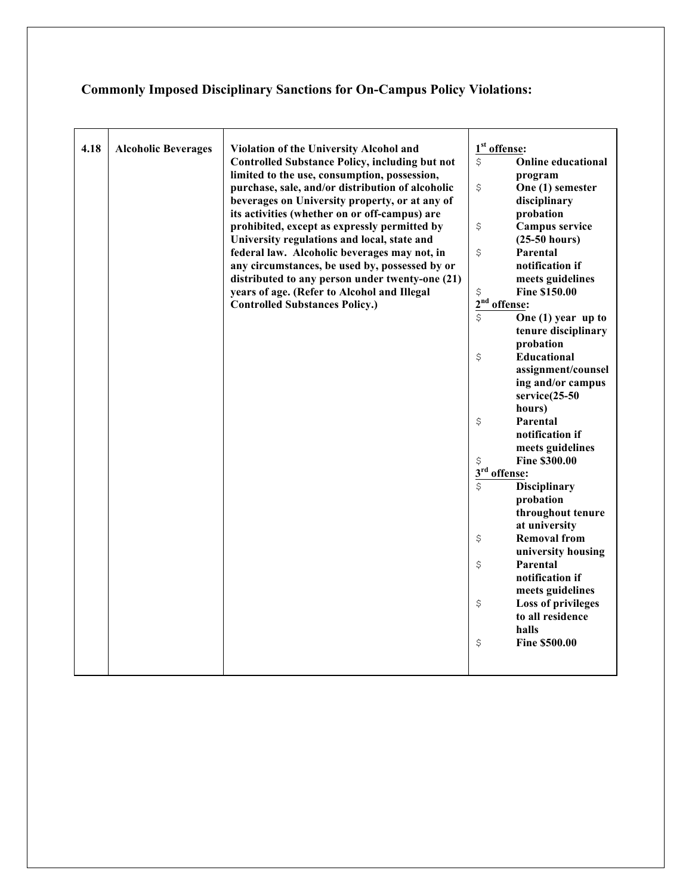# **Commonly Imposed Disciplinary Sanctions for On-Campus Policy Violations:**

| 4.18 | <b>Alcoholic Beverages</b> | <b>Violation of the University Alcohol and</b>        | 1 <sup>st</sup> offense: |                           |
|------|----------------------------|-------------------------------------------------------|--------------------------|---------------------------|
|      |                            | <b>Controlled Substance Policy, including but not</b> | \$                       | <b>Online educational</b> |
|      |                            | limited to the use, consumption, possession,          |                          | program                   |
|      |                            | purchase, sale, and/or distribution of alcoholic      | \$                       | One (1) semester          |
|      |                            | beverages on University property, or at any of        |                          | disciplinary              |
|      |                            | its activities (whether on or off-campus) are         |                          | probation                 |
|      |                            | prohibited, except as expressly permitted by          | \$                       | Campus service            |
|      |                            | University regulations and local, state and           |                          | $(25-50 hours)$           |
|      |                            | federal law. Alcoholic beverages may not, in          | \$                       | Parental                  |
|      |                            | any circumstances, be used by, possessed by or        |                          | notification if           |
|      |                            | distributed to any person under twenty-one (21)       |                          | meets guidelines          |
|      |                            | years of age. (Refer to Alcohol and Illegal           | \$                       | <b>Fine \$150.00</b>      |
|      |                            | <b>Controlled Substances Policy.)</b>                 | 2 <sup>nd</sup> offense: |                           |
|      |                            |                                                       | \$                       | One $(1)$ year up to      |
|      |                            |                                                       |                          | tenure disciplinary       |
|      |                            |                                                       |                          | probation                 |
|      |                            |                                                       | \$                       | <b>Educational</b>        |
|      |                            |                                                       |                          | assignment/counsel        |
|      |                            |                                                       |                          | ing and/or campus         |
|      |                            |                                                       |                          | service(25-50             |
|      |                            |                                                       |                          | hours)                    |
|      |                            |                                                       | \$                       | Parental                  |
|      |                            |                                                       |                          | notification if           |
|      |                            |                                                       |                          | meets guidelines          |
|      |                            |                                                       | \$                       | <b>Fine \$300.00</b>      |
|      |                            |                                                       | 3 <sup>rd</sup> offense: |                           |
|      |                            |                                                       | \$                       | <b>Disciplinary</b>       |
|      |                            |                                                       |                          | probation                 |
|      |                            |                                                       |                          | throughout tenure         |
|      |                            |                                                       |                          | at university             |
|      |                            |                                                       | \$                       | <b>Removal from</b>       |
|      |                            |                                                       |                          | university housing        |
|      |                            |                                                       | \$                       | Parental                  |
|      |                            |                                                       |                          | notification if           |
|      |                            |                                                       |                          | meets guidelines          |
|      |                            |                                                       | \$                       | <b>Loss of privileges</b> |
|      |                            |                                                       |                          | to all residence          |
|      |                            |                                                       |                          | halls                     |
|      |                            |                                                       | \$                       | <b>Fine \$500.00</b>      |
|      |                            |                                                       |                          |                           |
|      |                            |                                                       |                          |                           |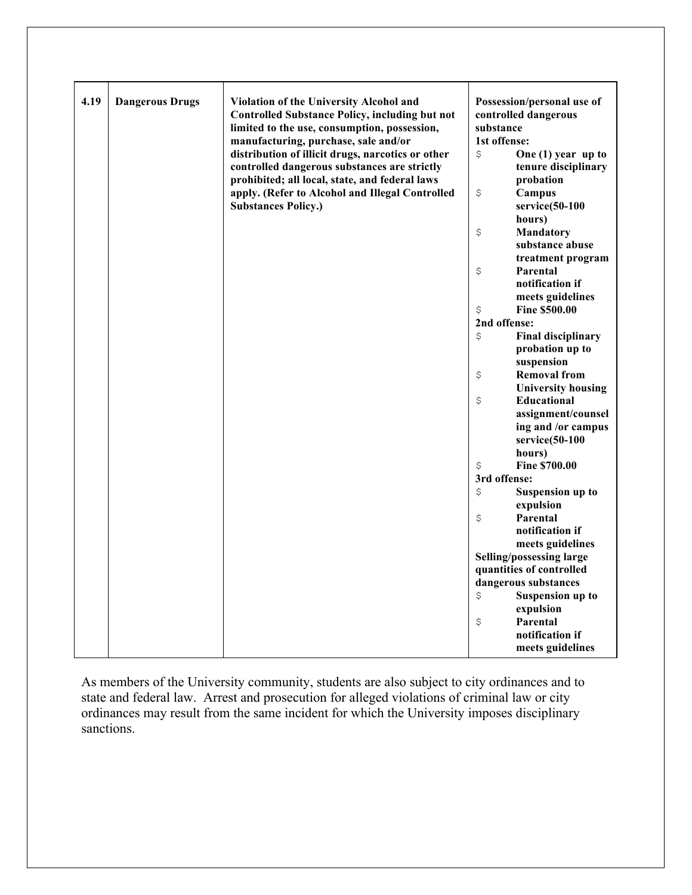| 4.19 | <b>Dangerous Drugs</b> | Violation of the University Alcohol and<br><b>Controlled Substance Policy, including but not</b><br>limited to the use, consumption, possession,<br>manufacturing, purchase, sale and/or | substance<br>1st offense: | Possession/personal use of<br>controlled dangerous |
|------|------------------------|------------------------------------------------------------------------------------------------------------------------------------------------------------------------------------------|---------------------------|----------------------------------------------------|
|      |                        | distribution of illicit drugs, narcotics or other<br>controlled dangerous substances are strictly                                                                                        | \$                        | One $(1)$ year up to<br>tenure disciplinary        |
|      |                        | prohibited; all local, state, and federal laws<br>apply. (Refer to Alcohol and Illegal Controlled                                                                                        | \$                        | probation<br>Campus                                |
|      |                        | <b>Substances Policy.)</b>                                                                                                                                                               |                           | $s$ ervice $(50-100)$<br>hours)                    |
|      |                        |                                                                                                                                                                                          | $\boldsymbol{\mathsf{S}}$ | Mandatory<br>substance abuse<br>treatment program  |
|      |                        |                                                                                                                                                                                          | \$                        | Parental<br>notification if                        |
|      |                        |                                                                                                                                                                                          | \$                        | meets guidelines<br><b>Fine \$500.00</b>           |
|      |                        |                                                                                                                                                                                          | 2nd offense:              |                                                    |
|      |                        |                                                                                                                                                                                          | \$                        | <b>Final disciplinary</b>                          |
|      |                        |                                                                                                                                                                                          |                           | probation up to                                    |
|      |                        |                                                                                                                                                                                          |                           | suspension                                         |
|      |                        |                                                                                                                                                                                          | \$                        | <b>Removal from</b>                                |
|      |                        |                                                                                                                                                                                          |                           | <b>University housing</b>                          |
|      |                        |                                                                                                                                                                                          | \$                        | Educational                                        |
|      |                        |                                                                                                                                                                                          |                           | assignment/counsel                                 |
|      |                        |                                                                                                                                                                                          |                           | ing and /or campus                                 |
|      |                        |                                                                                                                                                                                          |                           | service(50-100                                     |
|      |                        |                                                                                                                                                                                          |                           | hours)                                             |
|      |                        |                                                                                                                                                                                          | \$                        | <b>Fine \$700.00</b>                               |
|      |                        |                                                                                                                                                                                          | 3rd offense:              |                                                    |
|      |                        |                                                                                                                                                                                          | \$                        | <b>Suspension up to</b>                            |
|      |                        |                                                                                                                                                                                          |                           | expulsion                                          |
|      |                        |                                                                                                                                                                                          | \$                        | Parental                                           |
|      |                        |                                                                                                                                                                                          |                           | notification if                                    |
|      |                        |                                                                                                                                                                                          |                           | meets guidelines                                   |
|      |                        |                                                                                                                                                                                          |                           | Selling/possessing large                           |
|      |                        |                                                                                                                                                                                          |                           | quantities of controlled                           |
|      |                        |                                                                                                                                                                                          |                           | dangerous substances                               |
|      |                        |                                                                                                                                                                                          | \$                        | <b>Suspension up to</b>                            |
|      |                        |                                                                                                                                                                                          |                           | expulsion                                          |
|      |                        |                                                                                                                                                                                          | \$                        | Parental                                           |
|      |                        |                                                                                                                                                                                          |                           | notification if                                    |
|      |                        |                                                                                                                                                                                          |                           | meets guidelines                                   |

As members of the University community, students are also subject to city ordinances and to state and federal law. Arrest and prosecution for alleged violations of criminal law or city ordinances may result from the same incident for which the University imposes disciplinary sanctions.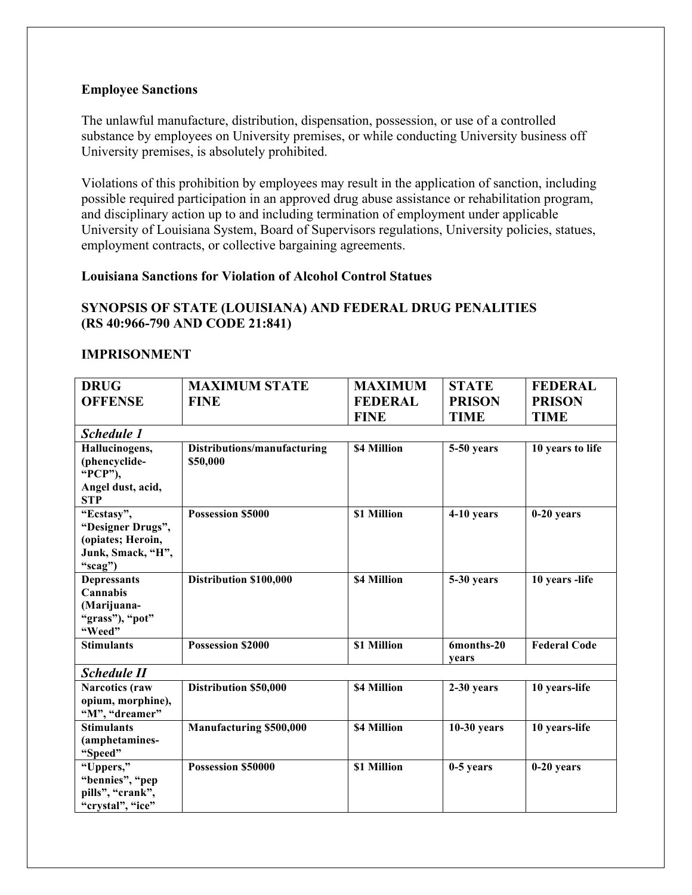#### **Employee Sanctions**

The unlawful manufacture, distribution, dispensation, possession, or use of a controlled substance by employees on University premises, or while conducting University business off University premises, is absolutely prohibited.

Violations of this prohibition by employees may result in the application of sanction, including possible required participation in an approved drug abuse assistance or rehabilitation program, and disciplinary action up to and including termination of employment under applicable University of Louisiana System, Board of Supervisors regulations, University policies, statues, employment contracts, or collective bargaining agreements.

#### **Louisiana Sanctions for Violation of Alcohol Control Statues**

## **SYNOPSIS OF STATE (LOUISIANA) AND FEDERAL DRUG PENALITIES (RS 40:966-790 AND CODE 21:841)**

#### **IMPRISONMENT**

| <b>DRUG</b>              | <b>MAXIMUM STATE</b>        | <b>MAXIMUM</b> | <b>STATE</b>        | <b>FEDERAL</b>      |
|--------------------------|-----------------------------|----------------|---------------------|---------------------|
| <b>OFFENSE</b>           | <b>FINE</b>                 | <b>FEDERAL</b> | <b>PRISON</b>       | <b>PRISON</b>       |
|                          |                             | <b>FINE</b>    | <b>TIME</b>         | <b>TIME</b>         |
|                          |                             |                |                     |                     |
| <b>Schedule 1</b>        |                             |                |                     |                     |
| Hallucinogens,           | Distributions/manufacturing | \$4 Million    | 5-50 years          | 10 years to life    |
| (phencyclide-<br>"PCP"), | \$50,000                    |                |                     |                     |
| Angel dust, acid,        |                             |                |                     |                     |
| <b>STP</b>               |                             |                |                     |                     |
| "Ecstasy",               | <b>Possession \$5000</b>    | \$1 Million    | 4-10 years          | $0-20$ years        |
| "Designer Drugs",        |                             |                |                     |                     |
| (opiates; Heroin,        |                             |                |                     |                     |
| Junk, Smack, "H",        |                             |                |                     |                     |
| "scag")                  |                             |                |                     |                     |
| <b>Depressants</b>       | Distribution \$100,000      | \$4 Million    | 5-30 years          | 10 years -life      |
| Cannabis                 |                             |                |                     |                     |
| (Marijuana-              |                             |                |                     |                     |
| "grass"), "pot"          |                             |                |                     |                     |
| "Weed"                   |                             |                |                     |                     |
| <b>Stimulants</b>        | <b>Possession \$2000</b>    | \$1 Million    | 6months-20<br>vears | <b>Federal Code</b> |
| <b>Schedule II</b>       |                             |                |                     |                     |
| <b>Narcotics</b> (raw    | Distribution \$50,000       | \$4 Million    | 2-30 years          | 10 years-life       |
| opium, morphine),        |                             |                |                     |                     |
| "M", "dreamer"           |                             |                |                     |                     |
| <b>Stimulants</b>        | Manufacturing \$500,000     | \$4 Million    | $10-30$ years       | 10 years-life       |
| (amphetamines-           |                             |                |                     |                     |
| "Speed"                  |                             |                |                     |                     |
| "Uppers,"                | Possession \$50000          | \$1 Million    | $0-5$ years         | $0-20$ years        |
| "bennies", "pep          |                             |                |                     |                     |
| pills", "crank",         |                             |                |                     |                     |
| "crystal", "ice"         |                             |                |                     |                     |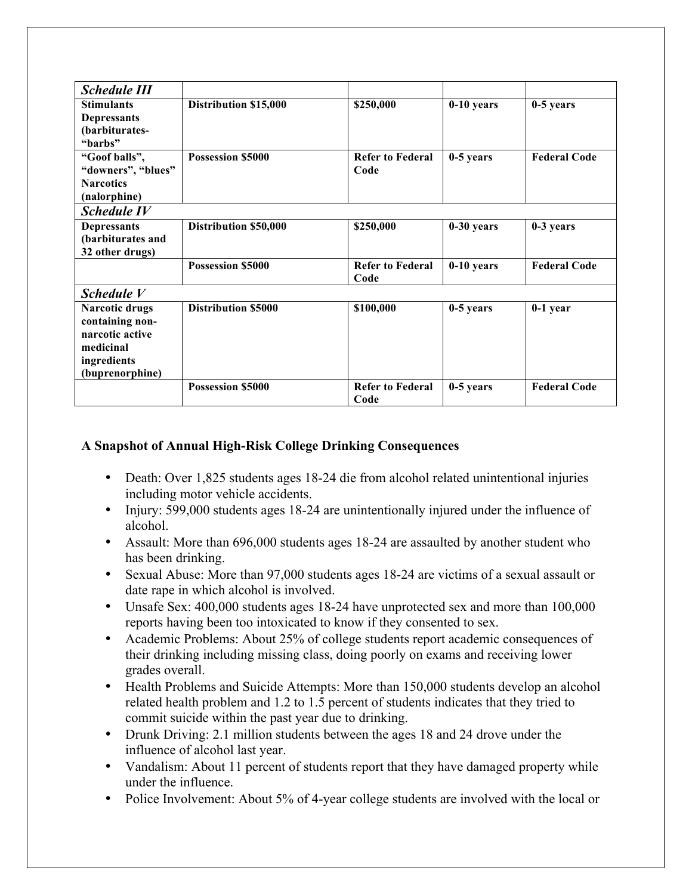| <b>Schedule III</b>   |                            |                                 |              |                     |
|-----------------------|----------------------------|---------------------------------|--------------|---------------------|
| <b>Stimulants</b>     | Distribution \$15,000      | \$250,000                       | $0-10$ years | $0-5$ years         |
| <b>Depressants</b>    |                            |                                 |              |                     |
| (barbiturates-        |                            |                                 |              |                     |
| "barbs"               |                            |                                 |              |                     |
| "Goof balls",         | <b>Possession \$5000</b>   | <b>Refer to Federal</b>         | $0-5$ years  | <b>Federal Code</b> |
| "downers", "blues"    |                            | Code                            |              |                     |
| <b>Narcotics</b>      |                            |                                 |              |                     |
| (nalorphine)          |                            |                                 |              |                     |
| <b>Schedule IV</b>    |                            |                                 |              |                     |
| <b>Depressants</b>    | Distribution \$50,000      | \$250,000                       | $0-30$ years | 0-3 years           |
| (barbiturates and     |                            |                                 |              |                     |
| 32 other drugs)       |                            |                                 |              |                     |
|                       | <b>Possession \$5000</b>   | <b>Refer to Federal</b><br>Code | $0-10$ years | <b>Federal Code</b> |
|                       |                            |                                 |              |                     |
| Schedule V            |                            |                                 |              |                     |
| <b>Narcotic drugs</b> | <b>Distribution \$5000</b> | \$100,000                       | $0-5$ years  | $0-1$ year          |
| containing non-       |                            |                                 |              |                     |
| narcotic active       |                            |                                 |              |                     |
| medicinal             |                            |                                 |              |                     |
| ingredients           |                            |                                 |              |                     |
| (buprenorphine)       |                            |                                 |              |                     |
|                       | <b>Possession \$5000</b>   | <b>Refer to Federal</b><br>Code | $0-5$ years  | <b>Federal Code</b> |

# **A Snapshot of Annual High-Risk College Drinking Consequences**

- Death: Over 1,825 students ages 18-24 die from alcohol related unintentional injuries including motor vehicle accidents.
- Injury: 599,000 students ages 18-24 are unintentionally injured under the influence of alcohol.
- Assault: More than 696,000 students ages 18-24 are assaulted by another student who has been drinking.
- Sexual Abuse: More than 97,000 students ages 18-24 are victims of a sexual assault or date rape in which alcohol is involved.
- Unsafe Sex: 400,000 students ages 18-24 have unprotected sex and more than 100,000 reports having been too intoxicated to know if they consented to sex.
- Academic Problems: About 25% of college students report academic consequences of their drinking including missing class, doing poorly on exams and receiving lower grades overall.
- Health Problems and Suicide Attempts: More than 150,000 students develop an alcohol related health problem and 1.2 to 1.5 percent of students indicates that they tried to commit suicide within the past year due to drinking.
- Drunk Driving: 2.1 million students between the ages 18 and 24 drove under the influence of alcohol last year.
- Vandalism: About 11 percent of students report that they have damaged property while under the influence.
- Police Involvement: About 5% of 4-year college students are involved with the local or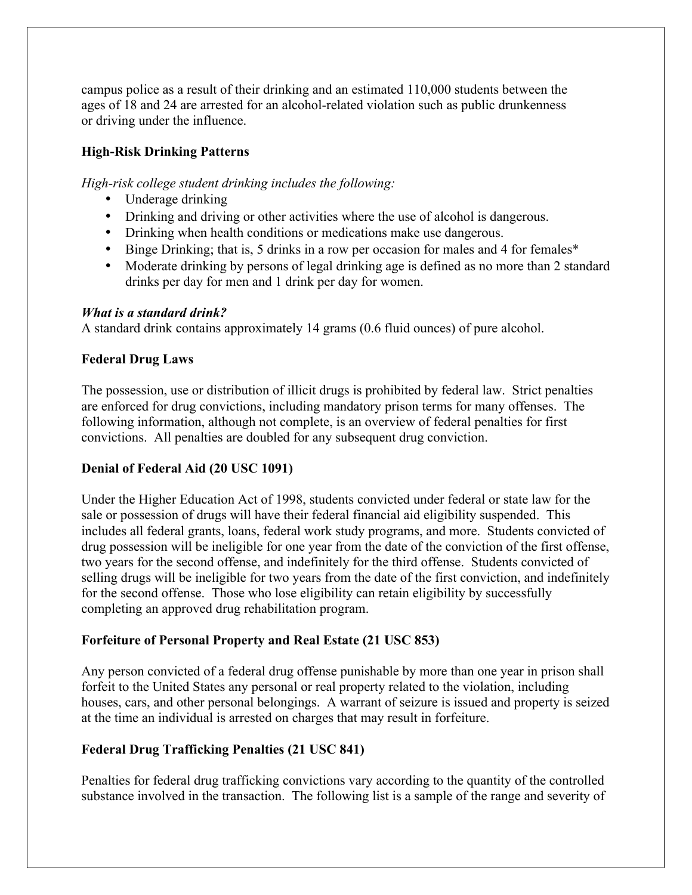campus police as a result of their drinking and an estimated 110,000 students between the ages of 18 and 24 are arrested for an alcohol-related violation such as public drunkenness or driving under the influence.

## **High-Risk Drinking Patterns**

*High-risk college student drinking includes the following:*

- Underage drinking
- Drinking and driving or other activities where the use of alcohol is dangerous.
- Drinking when health conditions or medications make use dangerous.
- Binge Drinking; that is, 5 drinks in a row per occasion for males and 4 for females\*
- Moderate drinking by persons of legal drinking age is defined as no more than 2 standard drinks per day for men and 1 drink per day for women.

## *What is a standard drink?*

A standard drink contains approximately 14 grams (0.6 fluid ounces) of pure alcohol.

## **Federal Drug Laws**

The possession, use or distribution of illicit drugs is prohibited by federal law. Strict penalties are enforced for drug convictions, including mandatory prison terms for many offenses. The following information, although not complete, is an overview of federal penalties for first convictions. All penalties are doubled for any subsequent drug conviction.

## **Denial of Federal Aid (20 USC 1091)**

Under the Higher Education Act of 1998, students convicted under federal or state law for the sale or possession of drugs will have their federal financial aid eligibility suspended. This includes all federal grants, loans, federal work study programs, and more. Students convicted of drug possession will be ineligible for one year from the date of the conviction of the first offense, two years for the second offense, and indefinitely for the third offense. Students convicted of selling drugs will be ineligible for two years from the date of the first conviction, and indefinitely for the second offense. Those who lose eligibility can retain eligibility by successfully completing an approved drug rehabilitation program.

## **Forfeiture of Personal Property and Real Estate (21 USC 853)**

Any person convicted of a federal drug offense punishable by more than one year in prison shall forfeit to the United States any personal or real property related to the violation, including houses, cars, and other personal belongings. A warrant of seizure is issued and property is seized at the time an individual is arrested on charges that may result in forfeiture.

# **Federal Drug Trafficking Penalties (21 USC 841)**

Penalties for federal drug trafficking convictions vary according to the quantity of the controlled substance involved in the transaction. The following list is a sample of the range and severity of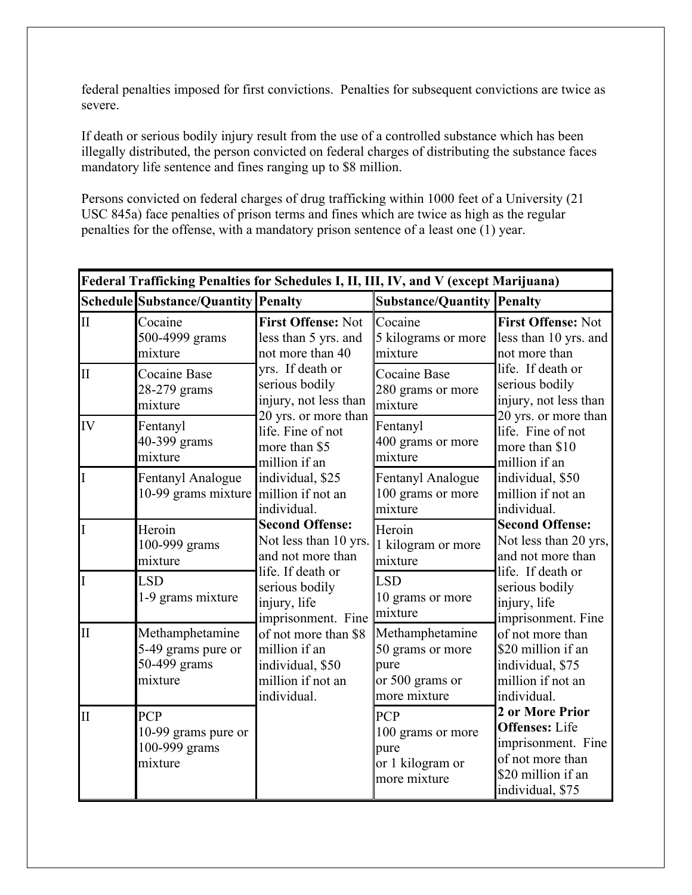federal penalties imposed for first convictions. Penalties for subsequent convictions are twice as severe.

If death or serious bodily injury result from the use of a controlled substance which has been illegally distributed, the person convicted on federal charges of distributing the substance faces mandatory life sentence and fines ranging up to \$8 million.

Persons convicted on federal charges of drug trafficking within 1000 feet of a University (21 USC 845a) face penalties of prison terms and fines which are twice as high as the regular penalties for the offense, with a mandatory prison sentence of a least one (1) year.

|                         | Federal Trafficking Penalties for Schedules I, II, III, IV, and V (except Marijuana) |                                                                                               |                                                                                |                                                                                                                              |  |
|-------------------------|--------------------------------------------------------------------------------------|-----------------------------------------------------------------------------------------------|--------------------------------------------------------------------------------|------------------------------------------------------------------------------------------------------------------------------|--|
|                         | Schedule Substance/Quantity Penalty                                                  |                                                                                               | <b>Substance/Quantity</b>                                                      | <b>Penalty</b>                                                                                                               |  |
| $\mathbf{I}$            | Cocaine<br>500-4999 grams<br>mixture                                                 | <b>First Offense: Not</b><br>less than 5 yrs. and<br>not more than 40                         | Cocaine<br>5 kilograms or more<br>mixture                                      | <b>First Offense: Not</b><br>less than 10 yrs. and<br>not more than                                                          |  |
| $\mathbf{I}$            | Cocaine Base<br>28-279 grams<br>mixture                                              | yrs. If death or<br>serious bodily<br>injury, not less than<br>20 yrs. or more than           | Cocaine Base<br>280 grams or more<br>mixture                                   | life. If death or<br>serious bodily<br>injury, not less than<br>20 yrs. or more than                                         |  |
| IV                      | Fentanyl<br>40-399 grams<br>mixture                                                  | life. Fine of not<br>more than \$5<br>million if an                                           | Fentanyl<br>400 grams or more<br>mixture                                       | life. Fine of not<br>more than \$10<br>million if an                                                                         |  |
|                         | Fentanyl Analogue<br>10-99 grams mixture                                             | individual, \$25<br>million if not an<br>individual.                                          | Fentanyl Analogue<br>100 grams or more<br>mixture                              | individual, \$50<br>million if not an<br>individual.                                                                         |  |
|                         | Heroin<br>100-999 grams<br>mixture                                                   | <b>Second Offense:</b><br>Not less than 10 yrs.<br>and not more than                          | Heroin<br>1 kilogram or more<br>mixture                                        | <b>Second Offense:</b><br>Not less than 20 yrs,<br>and not more than                                                         |  |
|                         | <b>LSD</b><br>1-9 grams mixture                                                      | life. If death or<br>serious bodily<br>injury, life<br>imprisonment. Fine                     | <b>LSD</b><br>10 grams or more<br>mixture                                      | life. If death or<br>serious bodily<br>injury, life<br>imprisonment. Fine                                                    |  |
| $\mathbf{I}$            | Methamphetamine<br>5-49 grams pure or<br>50-499 grams<br>mixture                     | of not more than \$8<br>million if an<br>individual, \$50<br>million if not an<br>individual. | Methamphetamine<br>50 grams or more<br>pure<br>or 500 grams or<br>more mixture | of not more than<br>\$20 million if an<br>individual, \$75<br>million if not an<br>individual.                               |  |
| $\overline{\mathbf{H}}$ | <b>PCP</b><br>10-99 grams pure or<br>100-999 grams<br>mixture                        |                                                                                               | PCP<br>100 grams or more<br>pure<br>or 1 kilogram or<br>more mixture           | 2 or More Prior<br><b>Offenses:</b> Life<br>imprisonment. Fine<br>of not more than<br>\$20 million if an<br>individual, \$75 |  |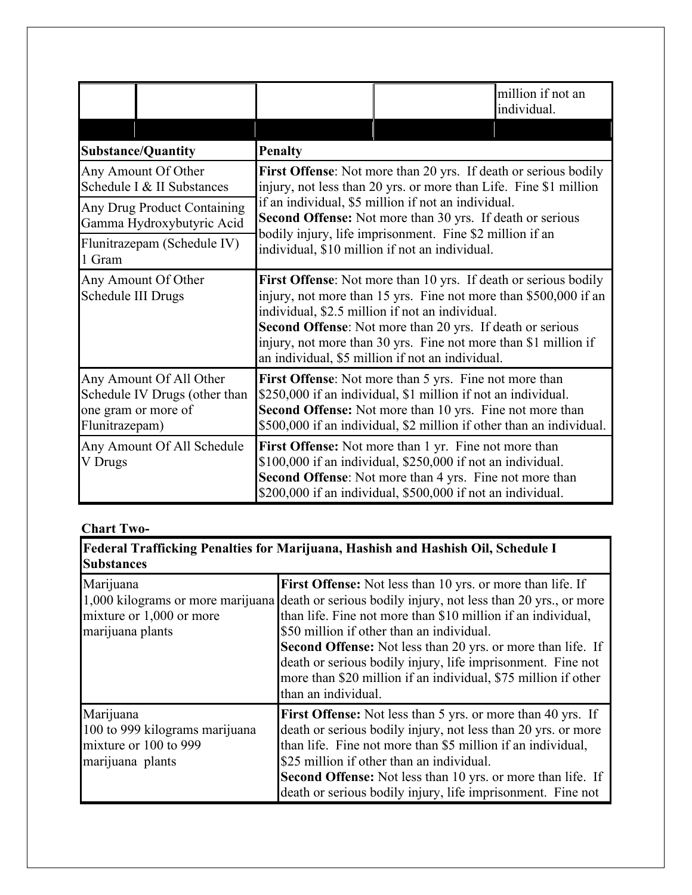|                                                                                                   |                                                                                                                                                                                                                                                                                                                                                                                    |                                                                                                                                                                                                                                                             | million if not an<br>individual. |
|---------------------------------------------------------------------------------------------------|------------------------------------------------------------------------------------------------------------------------------------------------------------------------------------------------------------------------------------------------------------------------------------------------------------------------------------------------------------------------------------|-------------------------------------------------------------------------------------------------------------------------------------------------------------------------------------------------------------------------------------------------------------|----------------------------------|
|                                                                                                   |                                                                                                                                                                                                                                                                                                                                                                                    |                                                                                                                                                                                                                                                             |                                  |
| <b>Substance/Quantity</b>                                                                         | <b>Penalty</b>                                                                                                                                                                                                                                                                                                                                                                     |                                                                                                                                                                                                                                                             |                                  |
| Any Amount Of Other<br>Schedule I & II Substances                                                 |                                                                                                                                                                                                                                                                                                                                                                                    | First Offense: Not more than 20 yrs. If death or serious bodily<br>injury, not less than 20 yrs. or more than Life. Fine \$1 million                                                                                                                        |                                  |
| Any Drug Product Containing<br>Gamma Hydroxybutyric Acid                                          | if an individual, \$5 million if not an individual.<br>Second Offense: Not more than 30 yrs. If death or serious<br>bodily injury, life imprisonment. Fine \$2 million if an<br>individual, \$10 million if not an individual.                                                                                                                                                     |                                                                                                                                                                                                                                                             |                                  |
| Flunitrazepam (Schedule IV)<br>1 Gram                                                             |                                                                                                                                                                                                                                                                                                                                                                                    |                                                                                                                                                                                                                                                             |                                  |
| Any Amount Of Other<br>Schedule III Drugs                                                         | <b>First Offense</b> : Not more than 10 yrs. If death or serious bodily<br>injury, not more than 15 yrs. Fine not more than \$500,000 if an<br>individual, \$2.5 million if not an individual.<br>Second Offense: Not more than 20 yrs. If death or serious<br>injury, not more than 30 yrs. Fine not more than \$1 million if<br>an individual, \$5 million if not an individual. |                                                                                                                                                                                                                                                             |                                  |
| Any Amount Of All Other<br>Schedule IV Drugs (other than<br>one gram or more of<br>Flunitrazepam) |                                                                                                                                                                                                                                                                                                                                                                                    | First Offense: Not more than 5 yrs. Fine not more than<br>\$250,000 if an individual, \$1 million if not an individual.<br>Second Offense: Not more than 10 yrs. Fine not more than<br>\$500,000 if an individual, \$2 million if other than an individual. |                                  |
| Any Amount Of All Schedule<br>V Drugs                                                             |                                                                                                                                                                                                                                                                                                                                                                                    | <b>First Offense:</b> Not more than 1 yr. Fine not more than<br>\$100,000 if an individual, \$250,000 if not an individual.<br>Second Offense: Not more than 4 yrs. Fine not more than<br>\$200,000 if an individual, \$500,000 if not an individual.       |                                  |

# **Chart Two-**

| <b>Federal Trafficking Penalties for Marijuana, Hashish and Hashish Oil, Schedule I</b><br><b>Substances</b> |                                                                                                                                                                                                                                                                                                                                                                                                                                                                                                           |  |  |  |
|--------------------------------------------------------------------------------------------------------------|-----------------------------------------------------------------------------------------------------------------------------------------------------------------------------------------------------------------------------------------------------------------------------------------------------------------------------------------------------------------------------------------------------------------------------------------------------------------------------------------------------------|--|--|--|
| Marijuana<br>mixture or 1,000 or more<br>marijuana plants                                                    | First Offense: Not less than 10 yrs. or more than life. If<br>1,000 kilograms or more marijuana death or serious bodily injury, not less than 20 yrs., or more<br>than life. Fine not more than \$10 million if an individual,<br>\$50 million if other than an individual.<br><b>Second Offense:</b> Not less than 20 yrs. or more than life. If<br>death or serious bodily injury, life imprisonment. Fine not<br>more than \$20 million if an individual, \$75 million if other<br>than an individual. |  |  |  |
| Marijuana<br>100 to 999 kilograms marijuana<br>mixture or 100 to 999<br>marijuana plants                     | <b>First Offense:</b> Not less than 5 yrs. or more than 40 yrs. If<br>death or serious bodily injury, not less than 20 yrs. or more<br>than life. Fine not more than \$5 million if an individual,<br>\$25 million if other than an individual.<br><b>Second Offense:</b> Not less than 10 yrs. or more than life. If<br>death or serious bodily injury, life imprisonment. Fine not                                                                                                                      |  |  |  |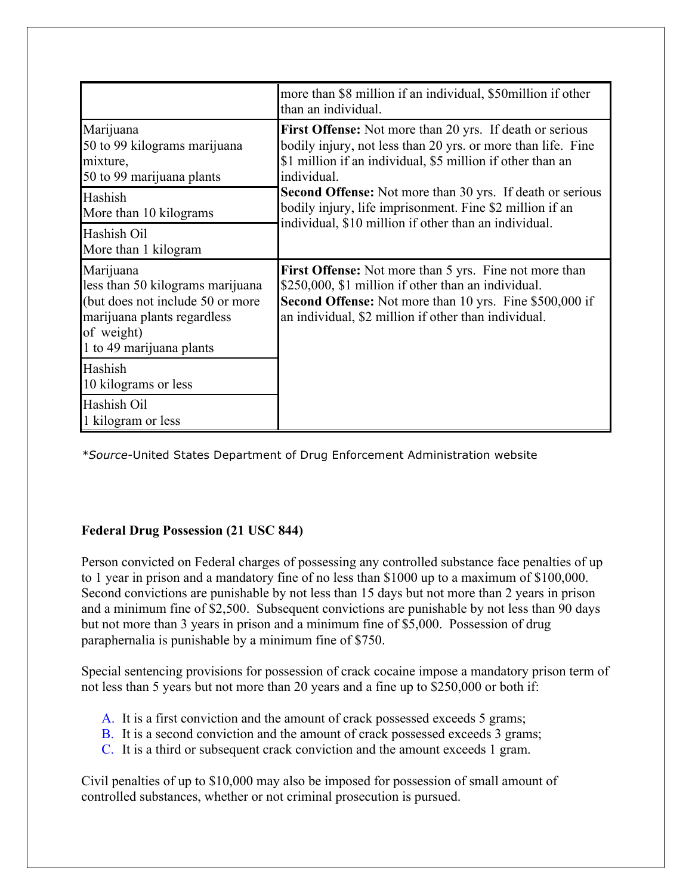|                                                                                                                                                            | more than \$8 million if an individual, \$50 million if other<br>than an individual.                                                                                                                                                    |
|------------------------------------------------------------------------------------------------------------------------------------------------------------|-----------------------------------------------------------------------------------------------------------------------------------------------------------------------------------------------------------------------------------------|
| Marijuana<br>50 to 99 kilograms marijuana<br>mixture,<br>50 to 99 marijuana plants                                                                         | <b>First Offense:</b> Not more than 20 yrs. If death or serious<br>bodily injury, not less than 20 yrs. or more than life. Fine<br>\$1 million if an individual, \$5 million if other than an<br>individual.                            |
| Hashish<br>More than 10 kilograms                                                                                                                          | Second Offense: Not more than 30 yrs. If death or serious<br>bodily injury, life imprisonment. Fine \$2 million if an<br>individual, \$10 million if other than an individual.                                                          |
| Hashish Oil<br>More than 1 kilogram                                                                                                                        |                                                                                                                                                                                                                                         |
| Marijuana<br>less than 50 kilograms marijuana<br>(but does not include 50 or more<br>marijuana plants regardless<br>of weight)<br>1 to 49 marijuana plants | <b>First Offense:</b> Not more than 5 yrs. Fine not more than<br>\$250,000, \$1 million if other than an individual.<br>Second Offense: Not more than 10 yrs. Fine \$500,000 if<br>an individual, \$2 million if other than individual. |
| Hashish<br>10 kilograms or less                                                                                                                            |                                                                                                                                                                                                                                         |
| Hashish Oil<br>1 kilogram or less                                                                                                                          |                                                                                                                                                                                                                                         |

*\*Source*-United States Department of Drug Enforcement Administration website

## **Federal Drug Possession (21 USC 844)**

Person convicted on Federal charges of possessing any controlled substance face penalties of up to 1 year in prison and a mandatory fine of no less than \$1000 up to a maximum of \$100,000. Second convictions are punishable by not less than 15 days but not more than 2 years in prison and a minimum fine of \$2,500. Subsequent convictions are punishable by not less than 90 days but not more than 3 years in prison and a minimum fine of \$5,000. Possession of drug paraphernalia is punishable by a minimum fine of \$750.

Special sentencing provisions for possession of crack cocaine impose a mandatory prison term of not less than 5 years but not more than 20 years and a fine up to \$250,000 or both if:

- A. It is a first conviction and the amount of crack possessed exceeds 5 grams;
- B. It is a second conviction and the amount of crack possessed exceeds 3 grams;
- C. It is a third or subsequent crack conviction and the amount exceeds 1 gram.

Civil penalties of up to \$10,000 may also be imposed for possession of small amount of controlled substances, whether or not criminal prosecution is pursued.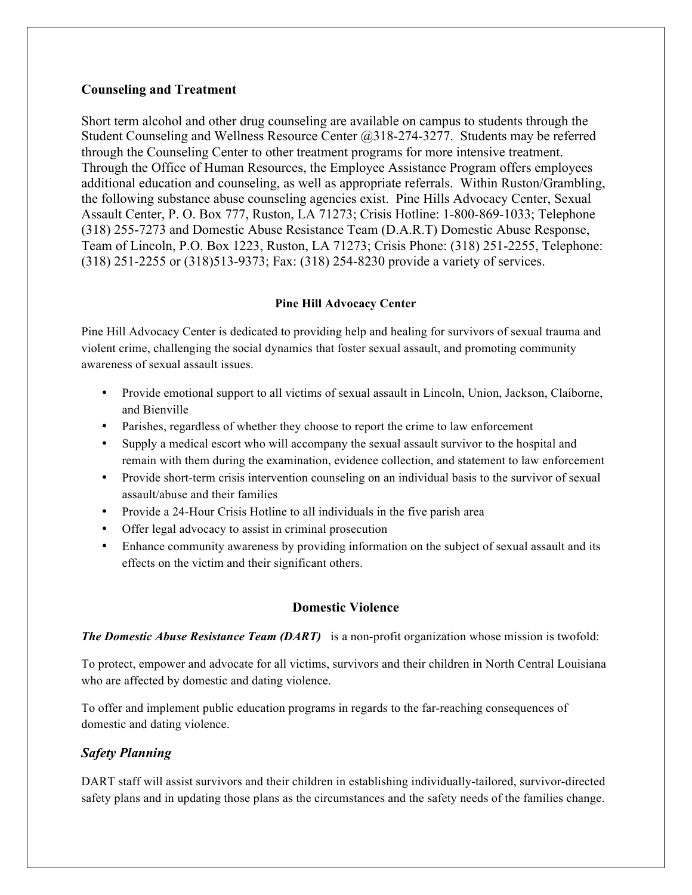#### **Counseling and Treatment**

Short term alcohol and other drug counseling are available on campus to students through the Student Counseling and Wellness Resource Center @318-274-3277. Students may be referred through the Counseling Center to other treatment programs for more intensive treatment. Through the Office of Human Resources, the Employee Assistance Program offers employees additional education and counseling, as well as appropriate referrals. Within Ruston/Grambling, the following substance abuse counseling agencies exist. Pine Hills Advocacy Center, Sexual Assault Center, P. O. Box 777, Ruston, LA 71273; Crisis Hotline: 1-800-869-1033; Telephone (318) 255-7273 and Domestic Abuse Resistance Team (D.A.R.T) Domestic Abuse Response, Team of Lincoln, P.O. Box 1223, Ruston, LA 71273; Crisis Phone: (318) 251-2255, Telephone: (318) 251-2255 or (318)513-9373; Fax: (318) 254-8230 provide a variety of services.

#### **Pine Hill Advocacy Center**

Pine Hill Advocacy Center is dedicated to providing help and healing for survivors of sexual trauma and violent crime, challenging the social dynamics that foster sexual assault, and promoting community awareness of sexual assault issues.

- Provide emotional support to all victims of sexual assault in Lincoln, Union, Jackson, Claiborne, and Bienville
- Parishes, regardless of whether they choose to report the crime to law enforcement
- Supply a medical escort who will accompany the sexual assault survivor to the hospital and remain with them during the examination, evidence collection, and statement to law enforcement
- Provide short-term crisis intervention counseling on an individual basis to the survivor of sexual assault/abuse and their families
- Provide a 24-Hour Crisis Hotline to all individuals in the five parish area
- Offer legal advocacy to assist in criminal prosecution
- Enhance community awareness by providing information on the subject of sexual assault and its effects on the victim and their significant others.

#### **Domestic Violence**

*The Domestic Abuse Resistance Team (DART)* is a non-profit organization whose mission is twofold:

To protect, empower and advocate for all victims, survivors and their children in North Central Louisiana who are affected by domestic and dating violence.

To offer and implement public education programs in regards to the far-reaching consequences of domestic and dating violence.

## *Safety Planning*

DART staff will assist survivors and their children in establishing individually-tailored, survivor-directed safety plans and in updating those plans as the circumstances and the safety needs of the families change.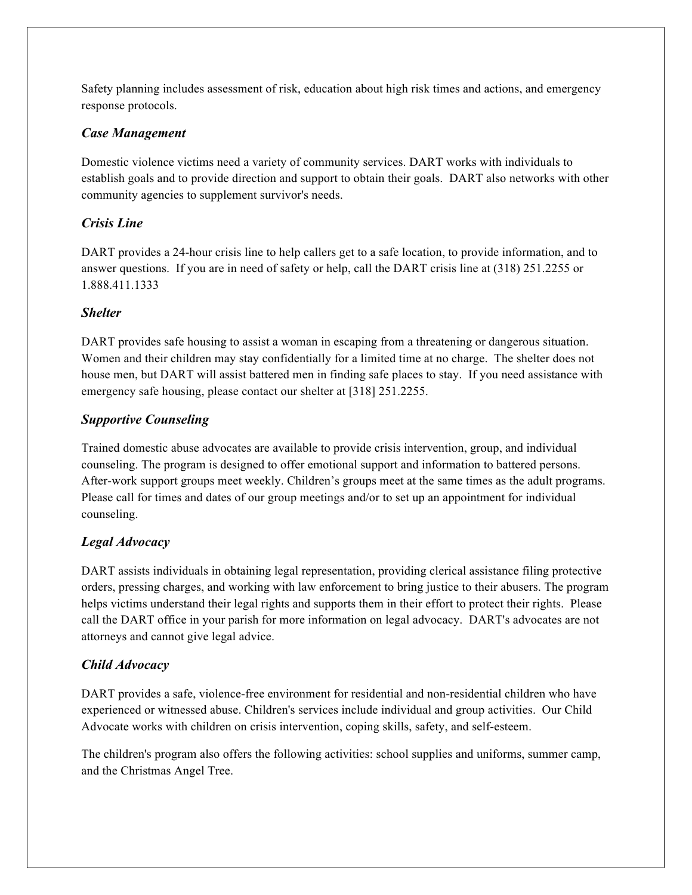Safety planning includes assessment of risk, education about high risk times and actions, and emergency response protocols.

#### *Case Management*

Domestic violence victims need a variety of community services. DART works with individuals to establish goals and to provide direction and support to obtain their goals. DART also networks with other community agencies to supplement survivor's needs.

## *Crisis Line*

DART provides a 24-hour crisis line to help callers get to a safe location, to provide information, and to answer questions. If you are in need of safety or help, call the DART crisis line at (318) 251.2255 or 1.888.411.1333

## *Shelter*

DART provides safe housing to assist a woman in escaping from a threatening or dangerous situation. Women and their children may stay confidentially for a limited time at no charge. The shelter does not house men, but DART will assist battered men in finding safe places to stay. If you need assistance with emergency safe housing, please contact our shelter at [318] 251.2255.

## *Supportive Counseling*

Trained domestic abuse advocates are available to provide crisis intervention, group, and individual counseling. The program is designed to offer emotional support and information to battered persons. After-work support groups meet weekly. Children's groups meet at the same times as the adult programs. Please call for times and dates of our group meetings and/or to set up an appointment for individual counseling.

## *Legal Advocacy*

DART assists individuals in obtaining legal representation, providing clerical assistance filing protective orders, pressing charges, and working with law enforcement to bring justice to their abusers. The program helps victims understand their legal rights and supports them in their effort to protect their rights. Please call the DART office in your parish for more information on legal advocacy. DART's advocates are not attorneys and cannot give legal advice.

# *Child Advocacy*

DART provides a safe, violence-free environment for residential and non-residential children who have experienced or witnessed abuse. Children's services include individual and group activities. Our Child Advocate works with children on crisis intervention, coping skills, safety, and self-esteem.

The children's program also offers the following activities: school supplies and uniforms, summer camp, and the Christmas Angel Tree.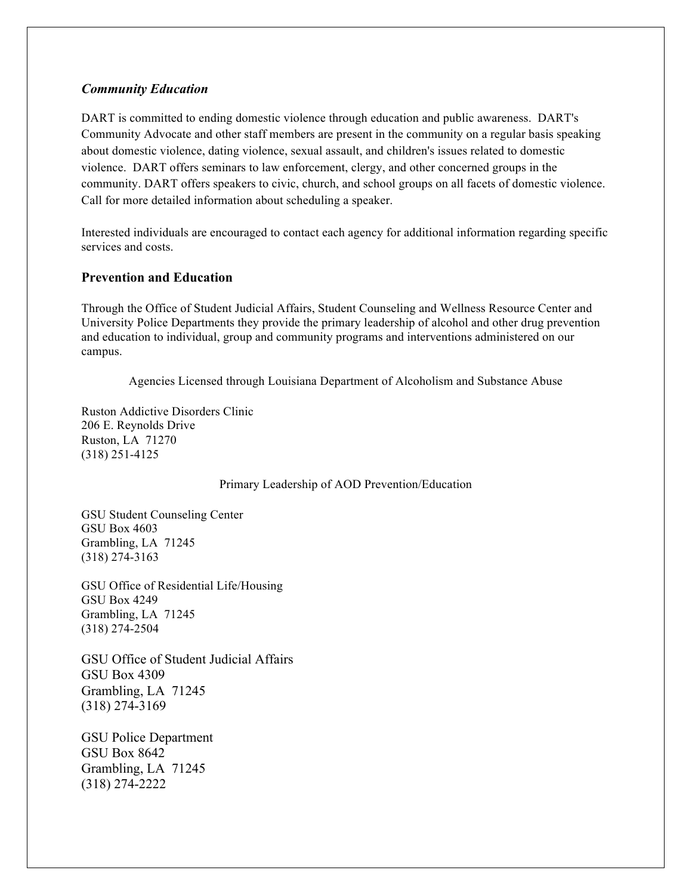#### *Community Education*

DART is committed to ending domestic violence through education and public awareness. DART's Community Advocate and other staff members are present in the community on a regular basis speaking about domestic violence, dating violence, sexual assault, and children's issues related to domestic violence. DART offers seminars to law enforcement, clergy, and other concerned groups in the community. DART offers speakers to civic, church, and school groups on all facets of domestic violence. Call for more detailed information about scheduling a speaker.

Interested individuals are encouraged to contact each agency for additional information regarding specific services and costs.

#### **Prevention and Education**

Through the Office of Student Judicial Affairs, Student Counseling and Wellness Resource Center and University Police Departments they provide the primary leadership of alcohol and other drug prevention and education to individual, group and community programs and interventions administered on our campus.

Agencies Licensed through Louisiana Department of Alcoholism and Substance Abuse

Ruston Addictive Disorders Clinic 206 E. Reynolds Drive Ruston, LA 71270 (318) 251-4125

Primary Leadership of AOD Prevention/Education

GSU Student Counseling Center GSU Box 4603 Grambling, LA 71245 (318) 274-3163

GSU Office of Residential Life/Housing GSU Box 4249 Grambling, LA 71245 (318) 274-2504

GSU Office of Student Judicial Affairs GSU Box 4309 Grambling, LA 71245 (318) 274-3169

GSU Police Department GSU Box 8642 Grambling, LA 71245 (318) 274-2222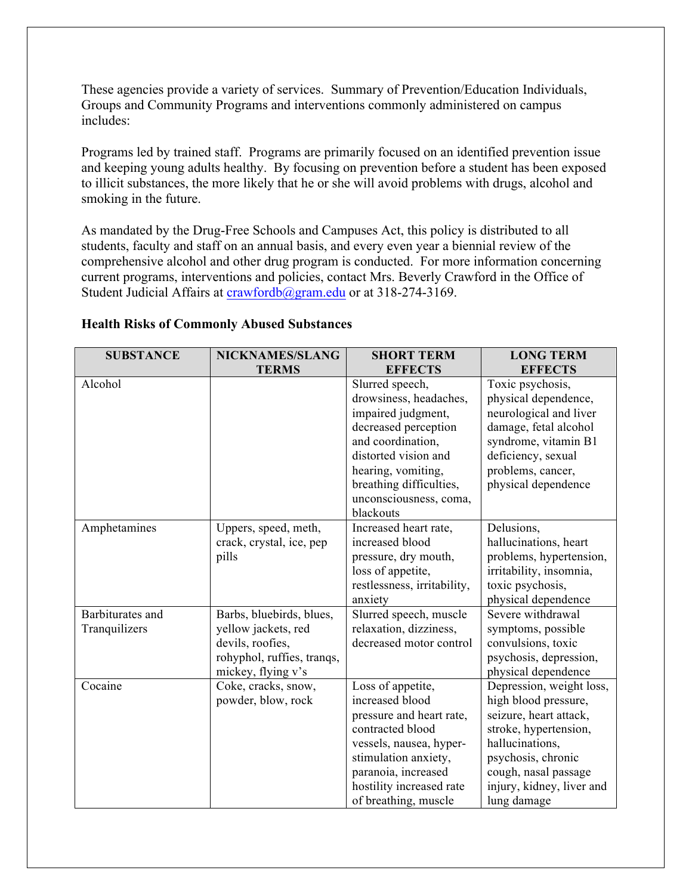These agencies provide a variety of services. Summary of Prevention/Education Individuals, Groups and Community Programs and interventions commonly administered on campus includes:

Programs led by trained staff. Programs are primarily focused on an identified prevention issue and keeping young adults healthy. By focusing on prevention before a student has been exposed to illicit substances, the more likely that he or she will avoid problems with drugs, alcohol and smoking in the future.

As mandated by the Drug-Free Schools and Campuses Act, this policy is distributed to all students, faculty and staff on an annual basis, and every even year a biennial review of the comprehensive alcohol and other drug program is conducted. For more information concerning current programs, interventions and policies, contact Mrs. Beverly Crawford in the Office of Student Judicial Affairs at crawfordb@gram.edu or at 318-274-3169.

| <b>SUBSTANCE</b> | NICKNAMES/SLANG            | <b>SHORT TERM</b>           | <b>LONG TERM</b>          |
|------------------|----------------------------|-----------------------------|---------------------------|
|                  | <b>TERMS</b>               | <b>EFFECTS</b>              | <b>EFFECTS</b>            |
| Alcohol          |                            | Slurred speech,             | Toxic psychosis,          |
|                  |                            | drowsiness, headaches,      | physical dependence,      |
|                  |                            | impaired judgment,          | neurological and liver    |
|                  |                            | decreased perception        | damage, fetal alcohol     |
|                  |                            | and coordination,           | syndrome, vitamin B1      |
|                  |                            | distorted vision and        | deficiency, sexual        |
|                  |                            | hearing, vomiting,          | problems, cancer,         |
|                  |                            | breathing difficulties,     | physical dependence       |
|                  |                            | unconsciousness, coma,      |                           |
|                  |                            | blackouts                   |                           |
| Amphetamines     | Uppers, speed, meth,       | Increased heart rate,       | Delusions,                |
|                  | crack, crystal, ice, pep   | increased blood             | hallucinations, heart     |
|                  | pills                      | pressure, dry mouth,        | problems, hypertension,   |
|                  |                            | loss of appetite,           | irritability, insomnia,   |
|                  |                            | restlessness, irritability, | toxic psychosis,          |
|                  |                            | anxiety                     | physical dependence       |
| Barbiturates and | Barbs, bluebirds, blues,   | Slurred speech, muscle      | Severe withdrawal         |
| Tranquilizers    | yellow jackets, red        | relaxation, dizziness,      | symptoms, possible        |
|                  | devils, roofies,           | decreased motor control     | convulsions, toxic        |
|                  | rohyphol, ruffies, tranqs, |                             | psychosis, depression,    |
|                  | mickey, flying v's         |                             | physical dependence       |
| Cocaine          | Coke, cracks, snow,        | Loss of appetite,           | Depression, weight loss,  |
|                  | powder, blow, rock         | increased blood             | high blood pressure,      |
|                  |                            | pressure and heart rate,    | seizure, heart attack,    |
|                  |                            | contracted blood            | stroke, hypertension,     |
|                  |                            | vessels, nausea, hyper-     | hallucinations,           |
|                  |                            | stimulation anxiety,        | psychosis, chronic        |
|                  |                            | paranoia, increased         | cough, nasal passage      |
|                  |                            | hostility increased rate    | injury, kidney, liver and |
|                  |                            | of breathing, muscle        | lung damage               |

#### **Health Risks of Commonly Abused Substances**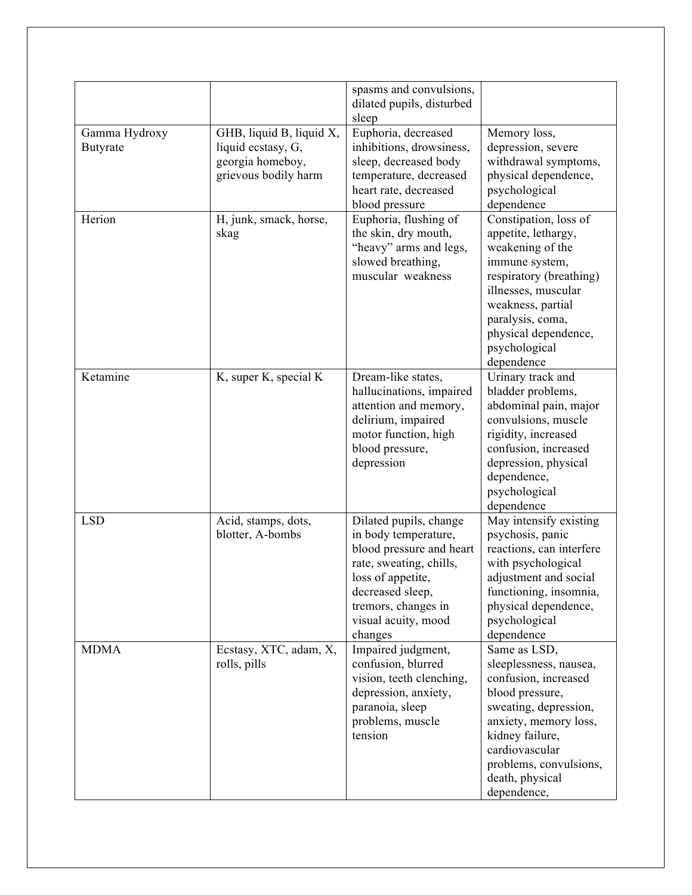|                                  |                                                                                            | spasms and convulsions,<br>dilated pupils, disturbed<br>sleep                                                                                                                                          |                                                                                                                                                                                                                                      |
|----------------------------------|--------------------------------------------------------------------------------------------|--------------------------------------------------------------------------------------------------------------------------------------------------------------------------------------------------------|--------------------------------------------------------------------------------------------------------------------------------------------------------------------------------------------------------------------------------------|
| Gamma Hydroxy<br><b>Butyrate</b> | GHB, liquid B, liquid X,<br>liquid ecstasy, G,<br>georgia homeboy,<br>grievous bodily harm | Euphoria, decreased<br>inhibitions, drowsiness,<br>sleep, decreased body<br>temperature, decreased<br>heart rate, decreased<br>blood pressure                                                          | Memory loss,<br>depression, severe<br>withdrawal symptoms,<br>physical dependence,<br>psychological<br>dependence                                                                                                                    |
| Herion                           | H, junk, smack, horse,<br>skag                                                             | Euphoria, flushing of<br>the skin, dry mouth,<br>"heavy" arms and legs,<br>slowed breathing,<br>muscular weakness                                                                                      | Constipation, loss of<br>appetite, lethargy,<br>weakening of the<br>immune system,<br>respiratory (breathing)<br>illnesses, muscular<br>weakness, partial<br>paralysis, coma,<br>physical dependence,<br>psychological<br>dependence |
| Ketamine                         | K, super K, special K                                                                      | Dream-like states,<br>hallucinations, impaired<br>attention and memory,<br>delirium, impaired<br>motor function, high<br>blood pressure,<br>depression                                                 | Urinary track and<br>bladder problems,<br>abdominal pain, major<br>convulsions, muscle<br>rigidity, increased<br>confusion, increased<br>depression, physical<br>dependence,<br>psychological<br>dependence                          |
| <b>LSD</b>                       | Acid, stamps, dots,<br>blotter, A-bombs                                                    | Dilated pupils, change<br>in body temperature,<br>blood pressure and heart<br>rate, sweating, chills,<br>loss of appetite<br>decreased sleep,<br>tremors, changes in<br>visual acuity, mood<br>changes | May intensify existing<br>psychosis, panic<br>reactions, can interfere<br>with psychological<br>adjustment and social<br>functioning, insomnia,<br>physical dependence,<br>psychological<br>dependence                               |
| <b>MDMA</b>                      | Ecstasy, XTC, adam, X,<br>rolls, pills                                                     | Impaired judgment,<br>confusion, blurred<br>vision, teeth clenching,<br>depression, anxiety,<br>paranoia, sleep<br>problems, muscle<br>tension                                                         | Same as LSD,<br>sleeplessness, nausea,<br>confusion, increased<br>blood pressure,<br>sweating, depression,<br>anxiety, memory loss,<br>kidney failure,<br>cardiovascular<br>problems, convulsions,<br>death, physical<br>dependence, |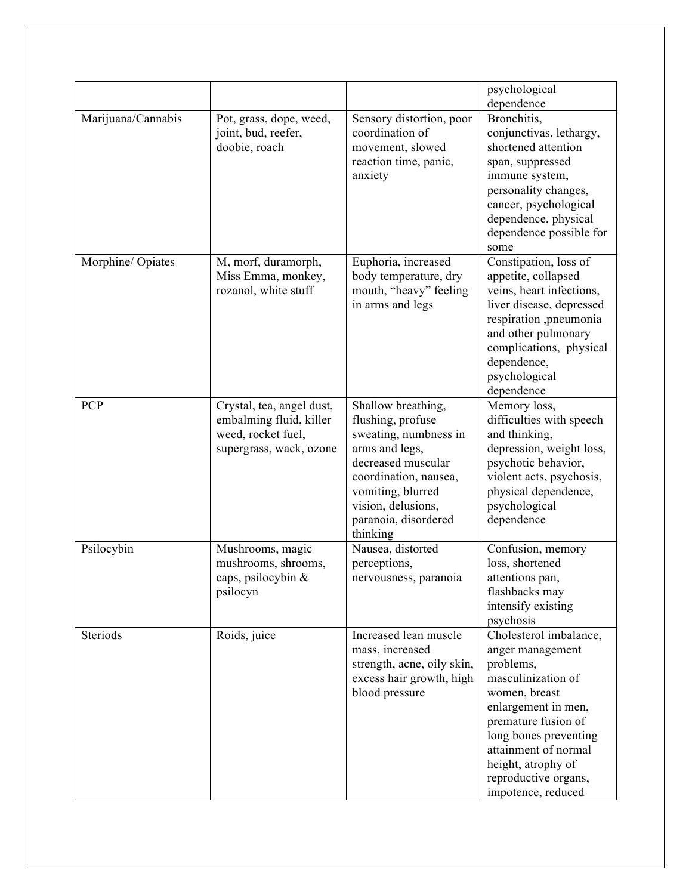|                    |                                                                                                       |                                                                                                                                                                                                                  | psychological<br>dependence                                                                                                                                                                                                                                       |
|--------------------|-------------------------------------------------------------------------------------------------------|------------------------------------------------------------------------------------------------------------------------------------------------------------------------------------------------------------------|-------------------------------------------------------------------------------------------------------------------------------------------------------------------------------------------------------------------------------------------------------------------|
| Marijuana/Cannabis | Pot, grass, dope, weed,<br>joint, bud, reefer,<br>doobie, roach                                       | Sensory distortion, poor<br>coordination of<br>movement, slowed<br>reaction time, panic,<br>anxiety                                                                                                              | Bronchitis,<br>conjunctivas, lethargy,<br>shortened attention<br>span, suppressed<br>immune system,<br>personality changes,<br>cancer, psychological<br>dependence, physical<br>dependence possible for<br>some                                                   |
| Morphine/ Opiates  | M, morf, duramorph,<br>Miss Emma, monkey,<br>rozanol, white stuff                                     | Euphoria, increased<br>body temperature, dry<br>mouth, "heavy" feeling<br>in arms and legs                                                                                                                       | Constipation, loss of<br>appetite, collapsed<br>veins, heart infections,<br>liver disease, depressed<br>respiration ,pneumonia<br>and other pulmonary<br>complications, physical<br>dependence,<br>psychological<br>dependence                                    |
| <b>PCP</b>         | Crystal, tea, angel dust,<br>embalming fluid, killer<br>weed, rocket fuel,<br>supergrass, wack, ozone | Shallow breathing,<br>flushing, profuse<br>sweating, numbness in<br>arms and legs,<br>decreased muscular<br>coordination, nausea,<br>vomiting, blurred<br>vision, delusions,<br>paranoia, disordered<br>thinking | Memory loss,<br>difficulties with speech<br>and thinking,<br>depression, weight loss,<br>psychotic behavior,<br>violent acts, psychosis,<br>physical dependence,<br>psychological<br>dependence                                                                   |
| Psilocybin         | Mushrooms, magic<br>mushrooms, shrooms,<br>caps, psilocybin $\&$<br>psilocyn                          | Nausea, distorted<br>perceptions,<br>nervousness, paranoia                                                                                                                                                       | Confusion, memory<br>loss, shortened<br>attentions pan,<br>flashbacks may<br>intensify existing<br>psychosis                                                                                                                                                      |
| Steriods           | Roids, juice                                                                                          | Increased lean muscle<br>mass, increased<br>strength, acne, oily skin,<br>excess hair growth, high<br>blood pressure                                                                                             | Cholesterol imbalance,<br>anger management<br>problems,<br>masculinization of<br>women, breast<br>enlargement in men,<br>premature fusion of<br>long bones preventing<br>attainment of normal<br>height, atrophy of<br>reproductive organs,<br>impotence, reduced |